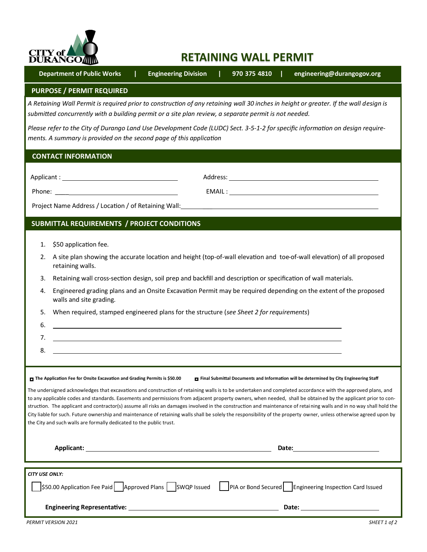

# **RETAINING WALL PERMIT**

 **Department of Public Works | Engineering Division | 970-375-4810 | engineering@durangogov.org**

### **PURPOSE / PERMIT REQUIRED**

*A Retaining Wall Permit is required prior to construction of any retaining wall 30 inches in height or greater. If the wall design is submitted concurrently with a building permit or a site plan review, a separate permit is not needed.* 

*Please refer to the City of Durango Land Use Development Code (LUDC) Sect. 3-5-1-2 for specific information on design requirements. A summary is provided on the second page of this application*

## **CONTACT INFORMATION**

| Applicant: |  |
|------------|--|
|            |  |

Applicant : Address:

Phone: \_\_\_\_ EMAIL :

Project Name Address / Location / of Retaining Wall: \_\_\_

# **SUBMITTAL REQUIREMENTS / PROJECT CONDITIONS**

- 1. \$50 application fee.
- 2. A site plan showing the accurate location and height (top-of-wall elevation and toe-of-wall elevation) of all proposed retaining walls.
- 3. Retaining wall cross-section design, soil prep and backfill and description or specification of wall materials.
- 4. Engineered grading plans and an Onsite Excavation Permit may be required depending on the extent of the proposed walls and site grading.
- 5. When required, stamped engineered plans for the structure (*see Sheet 2 for requirements*)
- 7. 8.

6.

The Application Fee for Onsite Excavation and Grading Permits is \$50.00 **F** Final Submittal Documents and Information will be determined by City Engineering Staff

The undersigned acknowledges that excavations and construction of retaining walls is to be undertaken and completed accordance with the approved plans, and to any applicable codes and standards. Easements and permissions from adjacent property owners, when needed, shall be obtained by the applicant prior to construction. The applicant and contractor(s) assume all risks an damages involved in the construction and maintenance of retaining walls and in no way shall hold the City liable for such. Future ownership and maintenance of retaining walls shall be solely the responsibility of the property owner, unless otherwise agreed upon by the City and such walls are formally dedicated to the public trust.

| <b>Applicant:</b>                                                                                                                         | Date:                                                                                                                                                                                                                          |
|-------------------------------------------------------------------------------------------------------------------------------------------|--------------------------------------------------------------------------------------------------------------------------------------------------------------------------------------------------------------------------------|
| <b>CITY USE ONLY:</b><br>\$50.00 Application Fee Paid Approved Plans SWQP Issued   PIA or Bond Secured Engineering Inspection Card Issued |                                                                                                                                                                                                                                |
|                                                                                                                                           | Date: the contract of the contract of the contract of the contract of the contract of the contract of the contract of the contract of the contract of the contract of the contract of the contract of the contract of the cont |